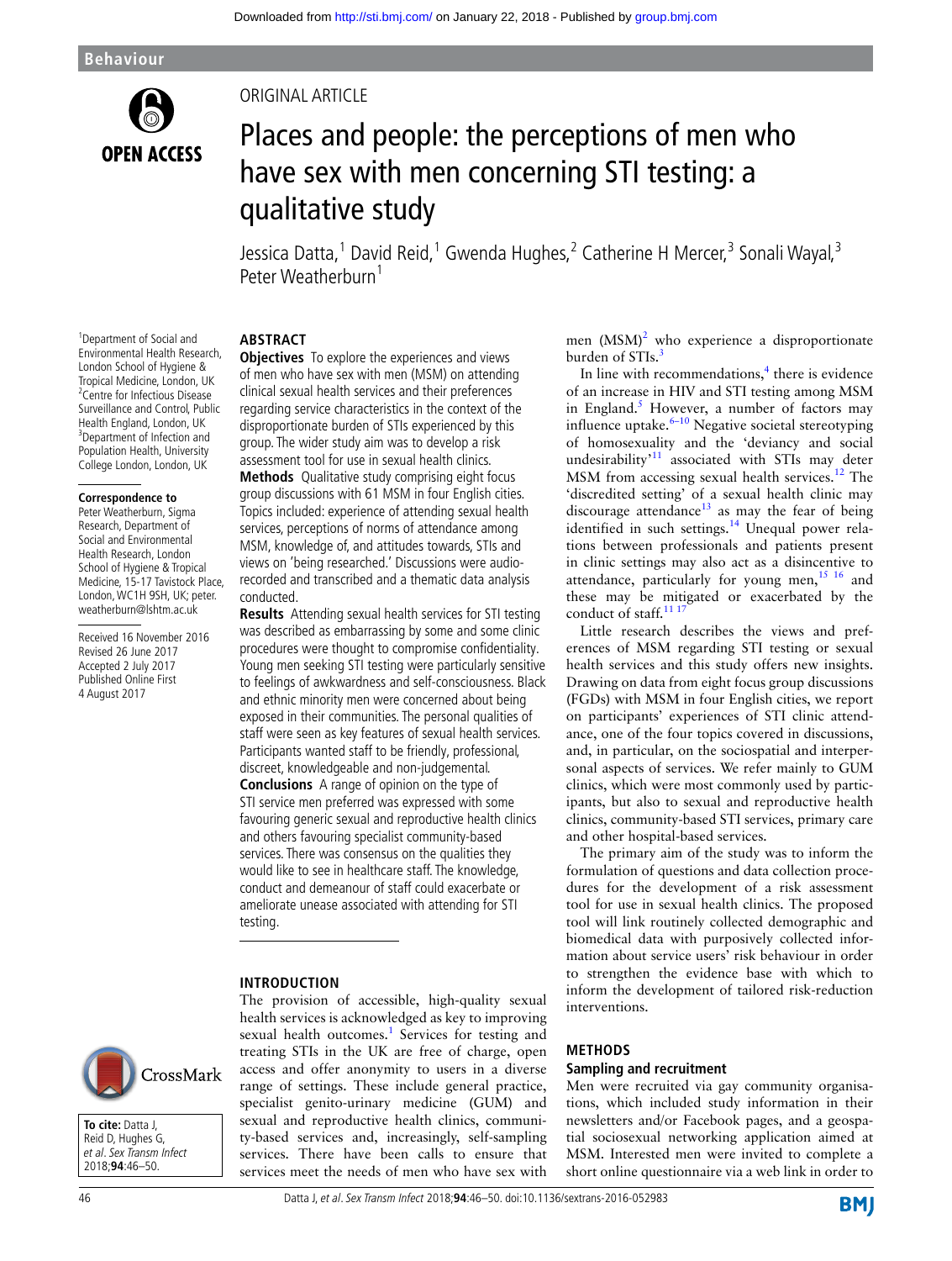

## ORIGINAL ARTICLE

# Places and people: the perceptions of men who have sex with men concerning STI testing: a qualitative study

Jessica Datta,<sup>1</sup> David Reid,<sup>1</sup> Gwenda Hughes,<sup>2</sup> Catherine H Mercer,<sup>3</sup> Sonali Wayal,<sup>3</sup> Peter Weatherburn<sup>1</sup>

## **Abstract**

<sup>1</sup> Department of Social and Environmental Health Research, London School of Hygiene & Tropical Medicine, London, UK <sup>2</sup> <sup>2</sup> Centre for Infectious Disease Surveillance and Control, Public Health England, London, UK <sup>3</sup> <sup>3</sup>Department of Infection and Population Health, University College London, London, UK

#### **Correspondence to**

Peter Weatherburn, Sigma Research, Department of Social and Environmental Health Research, London School of Hygiene & Tropical Medicine, 15-17 Tavistock Place, London, WC1H 9SH, UK; peter. weatherburn@lshtm.ac.uk

Received 16 November 2016 Revised 26 June 2017 Accepted 2 July 2017 Published Online First 4 August 2017



**To cite:** Datta J, Reid D, Hughes G, et al. Sex Transm Infect 2018;**94**:46–50.

**Objectives** To explore the experiences and views of men who have sex with men (MSM) on attending clinical sexual health services and their preferences regarding service characteristics in the context of the disproportionate burden of STIs experienced by this group. The wider study aim was to develop a risk assessment tool for use in sexual health clinics. **Methods** Qualitative study comprising eight focus group discussions with 61 MSM in four English cities. Topics included: experience of attending sexual health services, perceptions of norms of attendance among MSM, knowledge of, and attitudes towards, STIs and views on 'being researched.' Discussions were audiorecorded and transcribed and a thematic data analysis conducted.

**Results** Attending sexual health services for STI testing was described as embarrassing by some and some clinic procedures were thought to compromise confidentiality. Young men seeking STI testing were particularly sensitive to feelings of awkwardness and self-consciousness. Black and ethnic minority men were concerned about being exposed in their communities. The personal qualities of staff were seen as key features of sexual health services. Participants wanted staff to be friendly, professional, discreet, knowledgeable and non-judgemental. **Conclusions** A range of opinion on the type of STI service men preferred was expressed with some favouring generic sexual and reproductive health clinics and others favouring specialist community-based services. There was consensus on the qualities they would like to see in healthcare staff. The knowledge, conduct and demeanour of staff could exacerbate or ameliorate unease associated with attending for STI testing.

## **Introduction**

The provision of accessible, high-quality sexual health services is acknowledged as key to improving sexual health outcomes.<sup>1</sup> Services for testing and treating STIs in the UK are free of charge, open access and offer anonymity to users in a diverse range of settings. These include general practice, specialist genito-urinary medicine (GUM) and sexual and reproductive health clinics, community-based services and, increasingly, self-sampling services. There have been calls to ensure that services meet the needs of men who have sex with

men  $(MSM)^2$  who experience a disproportionate burden of  $STIs.<sup>3</sup>$ 

In line with recommendations, $<sup>4</sup>$  there is evidence</sup> of an increase in HIV and STI testing among MSM in England.<sup>5</sup> However, a number of factors may influence uptake. $6-10$  Negative societal stereotyping of homosexuality and the 'deviancy and social undesirability<sup>11</sup> associated with STIs may deter MSM from accessing sexual health services.<sup>12</sup> The 'discredited setting' of a sexual health clinic may discourage attendance<sup>13</sup> as may the fear of being identified in such settings.<sup>14</sup> Unequal power relations between professionals and patients present in clinic settings may also act as a disincentive to attendance, particularly for young men,  $15 \frac{16}{16}$  and these may be mitigated or exacerbated by the conduct of staff.<sup>11 17</sup>

Little research describes the views and preferences of MSM regarding STI testing or sexual health services and this study offers new insights. Drawing on data from eight focus group discussions (FGDs) with MSM in four English cities, we report on participants' experiences of STI clinic attendance, one of the four topics covered in discussions, and, in particular, on the sociospatial and interpersonal aspects of services. We refer mainly to GUM clinics, which were most commonly used by participants, but also to sexual and reproductive health clinics, community-based STI services, primary care and other hospital-based services.

The primary aim of the study was to inform the formulation of questions and data collection procedures for the development of a risk assessment tool for use in sexual health clinics. The proposed tool will link routinely collected demographic and biomedical data with purposively collected information about service users' risk behaviour in order to strengthen the evidence base with which to inform the development of tailored risk-reduction interventions.

## **Methods**

## **Sampling and recruitment**

Men were recruited via gay community organisations, which included study information in their newsletters and/or Facebook pages, and a geospatial sociosexual networking application aimed at MSM. Interested men were invited to complete a short online questionnaire via a web link in order to

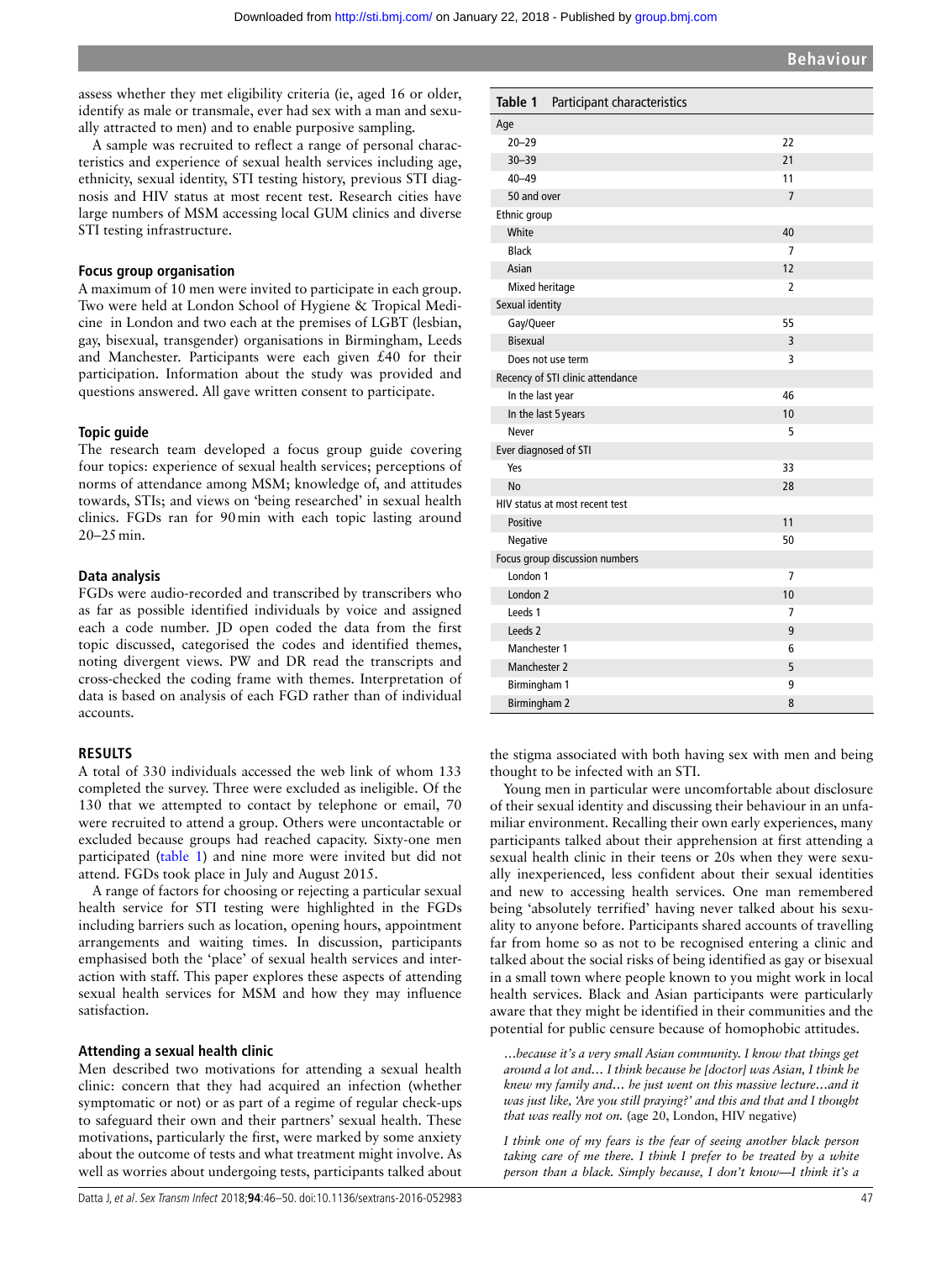assess whether they met eligibility criteria (ie, aged 16 or older, identify as male or transmale, ever had sex with a man and sexually attracted to men) and to enable purposive sampling.

A sample was recruited to reflect a range of personal characteristics and experience of sexual health services including age, ethnicity, sexual identity, STI testing history, previous STI diagnosis and HIV status at most recent test. Research cities have large numbers of MSM accessing local GUM clinics and diverse STI testing infrastructure.

## **Focus group organisation**

A maximum of 10 men were invited to participate in each group. Two were held at London School of Hygiene & Tropical Medicine in London and two each at the premises of LGBT (lesbian, gay, bisexual, transgender) organisations in Birmingham, Leeds and Manchester. Participants were each given £40 for their participation. Information about the study was provided and questions answered. All gave written consent to participate.

### **Topic guide**

The research team developed a focus group guide covering four topics: experience of sexual health services; perceptions of norms of attendance among MSM; knowledge of, and attitudes towards, STIs; and views on 'being researched' in sexual health clinics. FGDs ran for 90min with each topic lasting around 20–25min.

## **Data analysis**

FGDs were audio-recorded and transcribed by transcribers who as far as possible identified individuals by voice and assigned each a code number. JD open coded the data from the first topic discussed, categorised the codes and identified themes, noting divergent views. PW and DR read the transcripts and cross-checked the coding frame with themes. Interpretation of data is based on analysis of each FGD rather than of individual accounts.

## **Results**

A total of 330 individuals accessed the web link of whom 133 completed the survey. Three were excluded as ineligible. Of the 130 that we attempted to contact by telephone or email, 70 were recruited to attend a group. Others were uncontactable or excluded because groups had reached capacity. Sixty-one men participated (table 1) and nine more were invited but did not attend. FGDs took place in July and August 2015.

A range of factors for choosing or rejecting a particular sexual health service for STI testing were highlighted in the FGDs including barriers such as location, opening hours, appointment arrangements and waiting times. In discussion, participants emphasised both the 'place' of sexual health services and interaction with staff. This paper explores these aspects of attending sexual health services for MSM and how they may influence satisfaction.

### **Attending a sexual health clinic**

Men described two motivations for attending a sexual health clinic: concern that they had acquired an infection (whether symptomatic or not) or as part of a regime of regular check-ups to safeguard their own and their partners' sexual health. These motivations, particularly the first, were marked by some anxiety about the outcome of tests and what treatment might involve. As well as worries about undergoing tests, participants talked about

| Table 1 Participant characteristics |                |  |
|-------------------------------------|----------------|--|
| Age                                 |                |  |
| $20 - 29$                           | 22             |  |
| $30 - 39$                           | 21             |  |
| $40 - 49$                           | 11             |  |
| 50 and over                         | $\overline{7}$ |  |
| Ethnic group                        |                |  |
| White                               | 40             |  |
| <b>Black</b>                        | 7              |  |
| Asian                               | 12             |  |
| Mixed heritage                      | $\overline{2}$ |  |
| Sexual identity                     |                |  |
| Gay/Queer                           | 55             |  |
| Bisexual                            | 3              |  |
| Does not use term                   | 3              |  |
| Recency of STI clinic attendance    |                |  |
| In the last year                    | 46             |  |
| In the last 5 years                 | 10             |  |
| Never                               | 5              |  |
| Ever diagnosed of STI               |                |  |
| Yes                                 | 33             |  |
| No                                  | 28             |  |
| HIV status at most recent test      |                |  |
| Positive                            | 11             |  |
| Negative                            | 50             |  |
| Focus group discussion numbers      |                |  |
| London 1                            | 7              |  |
| London <sub>2</sub>                 | 10             |  |
| Leeds 1                             | 7              |  |
| Leeds <sub>2</sub>                  | 9              |  |
| Manchester 1                        | 6              |  |
| Manchester 2                        | 5              |  |
| Birmingham 1                        | 9              |  |
| Birmingham 2                        | 8              |  |

the stigma associated with both having sex with men and being thought to be infected with an STI.

Young men in particular were uncomfortable about disclosure of their sexual identity and discussing their behaviour in an unfamiliar environment. Recalling their own early experiences, many participants talked about their apprehension at first attending a sexual health clinic in their teens or 20s when they were sexually inexperienced, less confident about their sexual identities and new to accessing health services. One man remembered being 'absolutely terrified' having never talked about his sexuality to anyone before. Participants shared accounts of travelling far from home so as not to be recognised entering a clinic and talked about the social risks of being identified as gay or bisexual in a small town where people known to you might work in local health services. Black and Asian participants were particularly aware that they might be identified in their communities and the potential for public censure because of homophobic attitudes.

…*because it's a very small Asian community. I know that things get around a lot and… I think because he [doctor] was Asian, I think he knew my family and… he just went on this massive lecture…and it was just like, 'Are you still praying?' and this and that and I thought that was really not on.* (age 20, London, HIV negative)

*I think one of my fears is the fear of seeing another black person taking care of me there. I think I prefer to be treated by a white person than a black. Simply because, I don't know—I think it's a*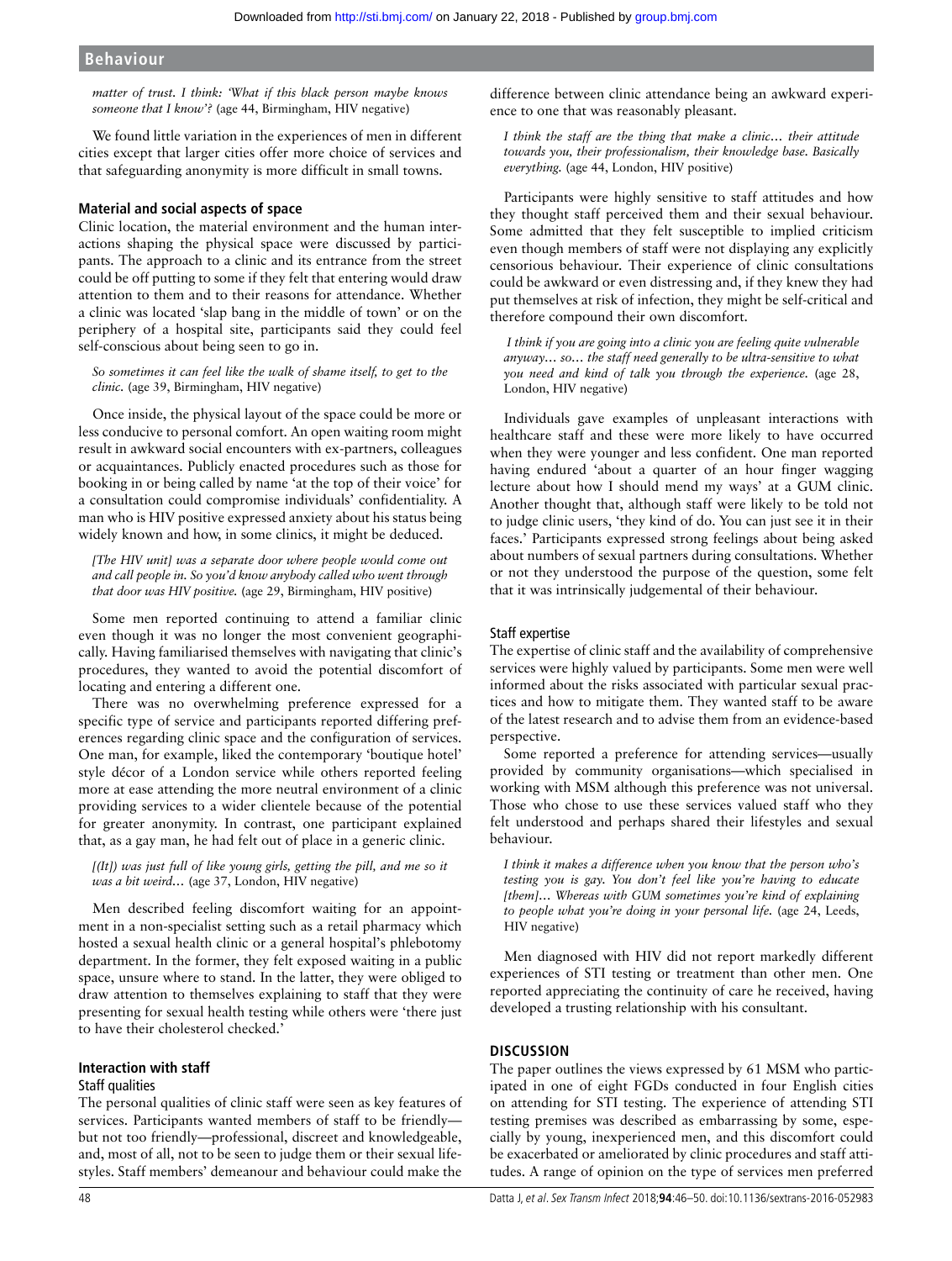## **Behaviour**

*matter of trust. I think: 'What if this black person maybe knows someone that I know'?* (age 44, Birmingham, HIV negative)

We found little variation in the experiences of men in different cities except that larger cities offer more choice of services and that safeguarding anonymity is more difficult in small towns.

#### **Material and social aspects of space**

Clinic location, the material environment and the human interactions shaping the physical space were discussed by participants. The approach to a clinic and its entrance from the street could be off putting to some if they felt that entering would draw attention to them and to their reasons for attendance. Whether a clinic was located 'slap bang in the middle of town' or on the periphery of a hospital site, participants said they could feel self-conscious about being seen to go in.

*So sometimes it can feel like the walk of shame itself, to get to the clinic.* (age 39, Birmingham, HIV negative)

Once inside, the physical layout of the space could be more or less conducive to personal comfort. An open waiting room might result in awkward social encounters with ex-partners, colleagues or acquaintances. Publicly enacted procedures such as those for booking in or being called by name 'at the top of their voice' for a consultation could compromise individuals' confidentiality. A man who is HIV positive expressed anxiety about his status being widely known and how, in some clinics, it might be deduced.

*[The HIV unit] was a separate door where people would come out and call people in. So you'd know anybody called who went through that door was HIV positive.* (age 29, Birmingham, HIV positive)

Some men reported continuing to attend a familiar clinic even though it was no longer the most convenient geographically. Having familiarised themselves with navigating that clinic's procedures, they wanted to avoid the potential discomfort of locating and entering a different one.

There was no overwhelming preference expressed for a specific type of service and participants reported differing preferences regarding clinic space and the configuration of services. One man, for example, liked the contemporary 'boutique hotel' style décor of a London service while others reported feeling more at ease attending the more neutral environment of a clinic providing services to a wider clientele because of the potential for greater anonymity. In contrast, one participant explained that, as a gay man, he had felt out of place in a generic clinic.

*[(It]) was just full of like young girls, getting the pill, and me so it was a bit weird…* (age 37, London, HIV negative)

Men described feeling discomfort waiting for an appointment in a non-specialist setting such as a retail pharmacy which hosted a sexual health clinic or a general hospital's phlebotomy department. In the former, they felt exposed waiting in a public space, unsure where to stand. In the latter, they were obliged to draw attention to themselves explaining to staff that they were presenting for sexual health testing while others were 'there just to have their cholesterol checked.'

### **Interaction with staff** Staff qualities

The personal qualities of clinic staff were seen as key features of services. Participants wanted members of staff to be friendly but not too friendly—professional, discreet and knowledgeable, and, most of all, not to be seen to judge them or their sexual lifestyles. Staff members' demeanour and behaviour could make the

difference between clinic attendance being an awkward experience to one that was reasonably pleasant.

*I think the staff are the thing that make a clinic… their attitude towards you, their professionalism, their knowledge base. Basically everything.* (age 44, London, HIV positive)

Participants were highly sensitive to staff attitudes and how they thought staff perceived them and their sexual behaviour. Some admitted that they felt susceptible to implied criticism even though members of staff were not displaying any explicitly censorious behaviour. Their experience of clinic consultations could be awkward or even distressing and, if they knew they had put themselves at risk of infection, they might be self-critical and therefore compound their own discomfort.

 *I think if you are going into a clinic you are feeling quite vulnerable anyway… so… the staff need generally to be ultra-sensitive to what you need and kind of talk you through the experience.* (age 28, London, HIV negative)

Individuals gave examples of unpleasant interactions with healthcare staff and these were more likely to have occurred when they were younger and less confident. One man reported having endured 'about a quarter of an hour finger wagging lecture about how I should mend my ways' at a GUM clinic. Another thought that, although staff were likely to be told not to judge clinic users, 'they kind of do. You can just see it in their faces.' Participants expressed strong feelings about being asked about numbers of sexual partners during consultations. Whether or not they understood the purpose of the question, some felt that it was intrinsically judgemental of their behaviour.

#### Staff expertise

The expertise of clinic staff and the availability of comprehensive services were highly valued by participants. Some men were well informed about the risks associated with particular sexual practices and how to mitigate them. They wanted staff to be aware of the latest research and to advise them from an evidence-based perspective.

Some reported a preference for attending services—usually provided by community organisations—which specialised in working with MSM although this preference was not universal. Those who chose to use these services valued staff who they felt understood and perhaps shared their lifestyles and sexual behaviour.

*I think it makes a difference when you know that the person who's testing you is gay. You don't feel like you're having to educate [them]… Whereas with GUM sometimes you're kind of explaining to people what you're doing in your personal life.* (age 24, Leeds, HIV negative)

Men diagnosed with HIV did not report markedly different experiences of STI testing or treatment than other men. One reported appreciating the continuity of care he received, having developed a trusting relationship with his consultant.

### **Discussion**

The paper outlines the views expressed by 61 MSM who participated in one of eight FGDs conducted in four English cities on attending for STI testing. The experience of attending STI testing premises was described as embarrassing by some, especially by young, inexperienced men, and this discomfort could be exacerbated or ameliorated by clinic procedures and staff attitudes. A range of opinion on the type of services men preferred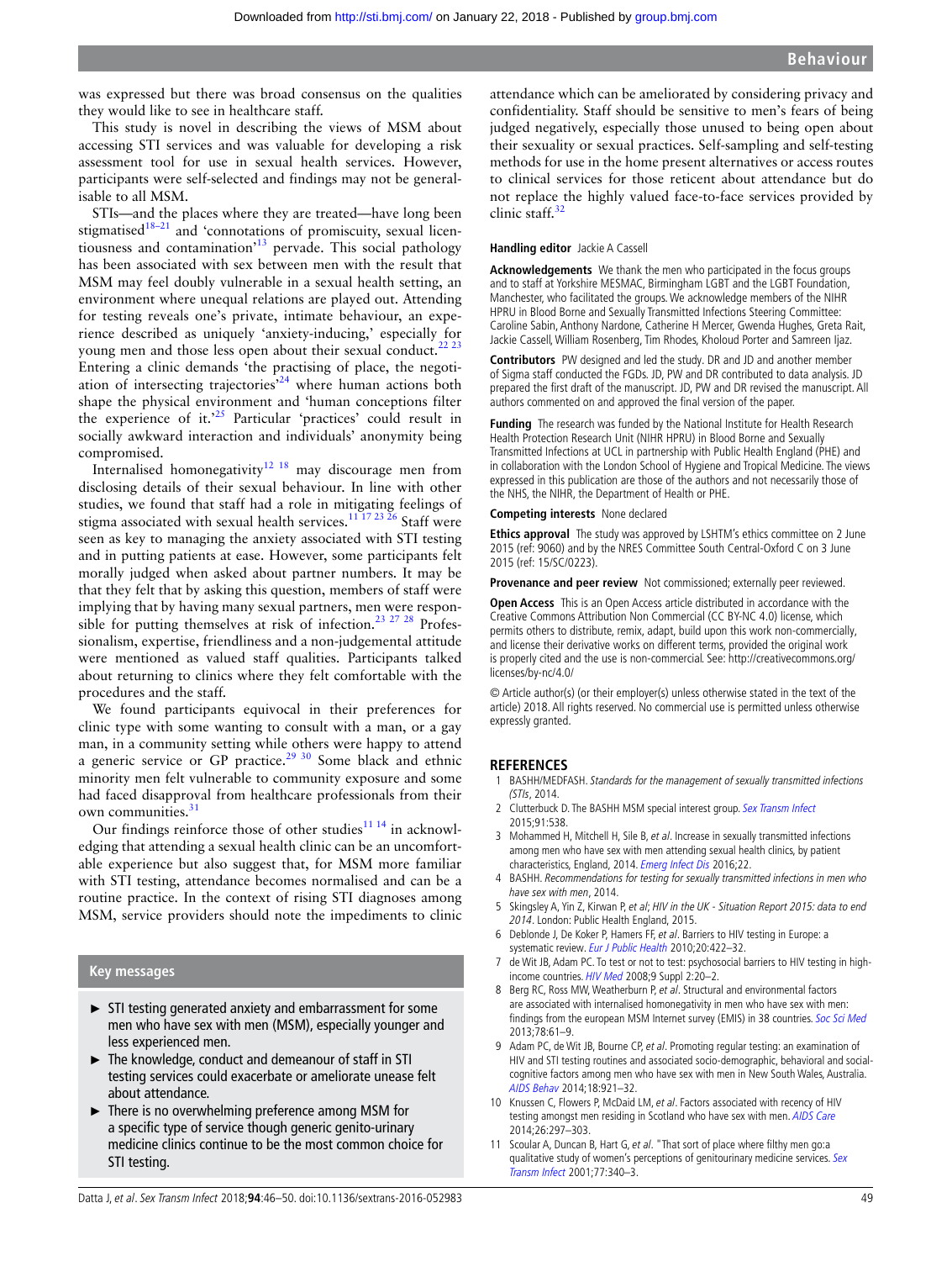was expressed but there was broad consensus on the qualities they would like to see in healthcare staff.

This study is novel in describing the views of MSM about accessing STI services and was valuable for developing a risk assessment tool for use in sexual health services. However, participants were self-selected and findings may not be generalisable to all MSM.

STIs—and the places where they are treated—have long been stigmatised $18-21$  and 'connotations of promiscuity, sexual licentiousness and contamination'13 pervade. This social pathology has been associated with sex between men with the result that MSM may feel doubly vulnerable in a sexual health setting, an environment where unequal relations are played out. Attending for testing reveals one's private, intimate behaviour, an experience described as uniquely 'anxiety-inducing,' especially for young men and those less open about their sexual conduct.<sup>22 23</sup> Entering a clinic demands 'the practising of place, the negotiation of intersecting trajectories<sup> $24$ </sup> where human actions both shape the physical environment and 'human conceptions filter the experience of it.'25 Particular 'practices' could result in socially awkward interaction and individuals' anonymity being compromised.

Internalised homonegativity<sup>12 18</sup> may discourage men from disclosing details of their sexual behaviour. In line with other studies, we found that staff had a role in mitigating feelings of stigma associated with sexual health services.<sup>11 17 23 26</sup> Staff were seen as key to managing the anxiety associated with STI testing and in putting patients at ease. However, some participants felt morally judged when asked about partner numbers. It may be that they felt that by asking this question, members of staff were implying that by having many sexual partners, men were responsible for putting themselves at risk of infection.<sup>23 27 28</sup> Professionalism, expertise, friendliness and a non-judgemental attitude were mentioned as valued staff qualities. Participants talked about returning to clinics where they felt comfortable with the procedures and the staff.

We found participants equivocal in their preferences for clinic type with some wanting to consult with a man, or a gay man, in a community setting while others were happy to attend a generic service or GP practice.<sup>29 30</sup> Some black and ethnic minority men felt vulnerable to community exposure and some had faced disapproval from healthcare professionals from their own communities.<sup>31</sup>

Our findings reinforce those of other studies $1114$  in acknowledging that attending a sexual health clinic can be an uncomfortable experience but also suggest that, for MSM more familiar with STI testing, attendance becomes normalised and can be a routine practice. In the context of rising STI diagnoses among MSM, service providers should note the impediments to clinic

## **Key messages**

- ► STI testing generated anxiety and embarrassment for some men who have sex with men (MSM), especially younger and less experienced men.
- ► The knowledge, conduct and demeanour of staff in STI testing services could exacerbate or ameliorate unease felt about attendance.
- ► There is no overwhelming preference among MSM for a specific type of service though generic genito-urinary medicine clinics continue to be the most common choice for STI testing.

#### **Handling editor** Jackie A Cassell

**Acknowledgements** We thank the men who participated in the focus groups and to staff at Yorkshire MESMAC, Birmingham LGBT and the LGBT Foundation, Manchester, who facilitated the groups. We acknowledge members of the NIHR HPRU in Blood Borne and Sexually Transmitted Infections Steering Committee: Caroline Sabin, Anthony Nardone, Catherine H Mercer, Gwenda Hughes, Greta Rait, Jackie Cassell, William Rosenberg, Tim Rhodes, Kholoud Porter and Samreen Ijaz.

**Contributors** PW designed and led the study. DR and JD and another member of Sigma staff conducted the FGDs. JD, PW and DR contributed to data analysis. JD prepared the first draft of the manuscript. JD, PW and DR revised the manuscript. All authors commented on and approved the final version of the paper.

**Funding** The research was funded by the National Institute for Health Research Health Protection Research Unit (NIHR HPRU) in Blood Borne and Sexually Transmitted Infections at UCL in partnership with Public Health England (PHE) and in collaboration with the London School of Hygiene and Tropical Medicine. The views expressed in this publication are those of the authors and not necessarily those of the NHS, the NIHR, the Department of Health or PHE.

#### **Competing interests** None declared

**Ethics approval** The study was approved by LSHTM's ethics committee on 2 June 2015 (ref: 9060) and by the NRES Committee South Central-Oxford C on 3 June 2015 (ref: 15/SC/0223).

**Provenance and peer review** Not commissioned; externally peer reviewed.

**Open Access** This is an Open Access article distributed in accordance with the Creative Commons Attribution Non Commercial (CC BY-NC 4.0) license, which permits others to distribute, remix, adapt, build upon this work non-commercially, and license their derivative works on different terms, provided the original work is properly cited and the use is non-commercial. See: http://creativecommons.org/ licenses/by-nc/4.0/

© Article author(s) (or their employer(s) unless otherwise stated in the text of the article) 2018. All rights reserved. No commercial use is permitted unless otherwise expressly granted.

#### **References**

- 1 BASHH/MEDFASH. Standards for the management of sexually transmitted infections (STIs, 2014.
- 2 Clutterbuck D. The BASHH MSM special interest group. Sex Transm Infect 2015;91:538.
- 3 Mohammed H, Mitchell H, Sile B, et al. Increase in sexually transmitted infections among men who have sex with men attending sexual health clinics, by patient characteristics, England, 2014. Emerg Infect Dis 2016;22.
- 4 BASHH. Recommendations for testing for sexually transmitted infections in men who have sex with men, 2014.
- 5 Skingsley A, Yin Z, Kirwan P, et al; HIV in the UK Situation Report 2015: data to end 2014. London: Public Health England, 2015.
- 6 Deblonde J, De Koker P, Hamers FF, et al. Barriers to HIV testing in Europe: a systematic review. Eur J Public Health 2010;20:422–32.
- 7 de Wit JB, Adam PC. To test or not to test: psychosocial barriers to HIV testing in highincome countries. HIV Med 2008;9 Suppl 2:20–2.
- 8 Berg RC, Ross MW, Weatherburn P, et al. Structural and environmental factors are associated with internalised homonegativity in men who have sex with men: findings from the european MSM Internet survey (EMIS) in 38 countries. Soc Sci Med 2013;78:61–9.
- 9 Adam PC, de Wit JB, Bourne CP, et al. Promoting regular testing: an examination of HIV and STI testing routines and associated socio-demographic, behavioral and socialcognitive factors among men who have sex with men in New South Wales, Australia. AIDS Behav 2014;18:921–32.
- 10 Knussen C, Flowers P, McDaid LM, et al. Factors associated with recency of HIV testing amongst men residing in Scotland who have sex with men. AIDS Care 2014;26:297–303.
- 11 Scoular A, Duncan B, Hart G, et al. "That sort of place where filthy men go:a qualitative study of women's perceptions of genitourinary medicine services. Sex Transm Infect 2001;77:340–3.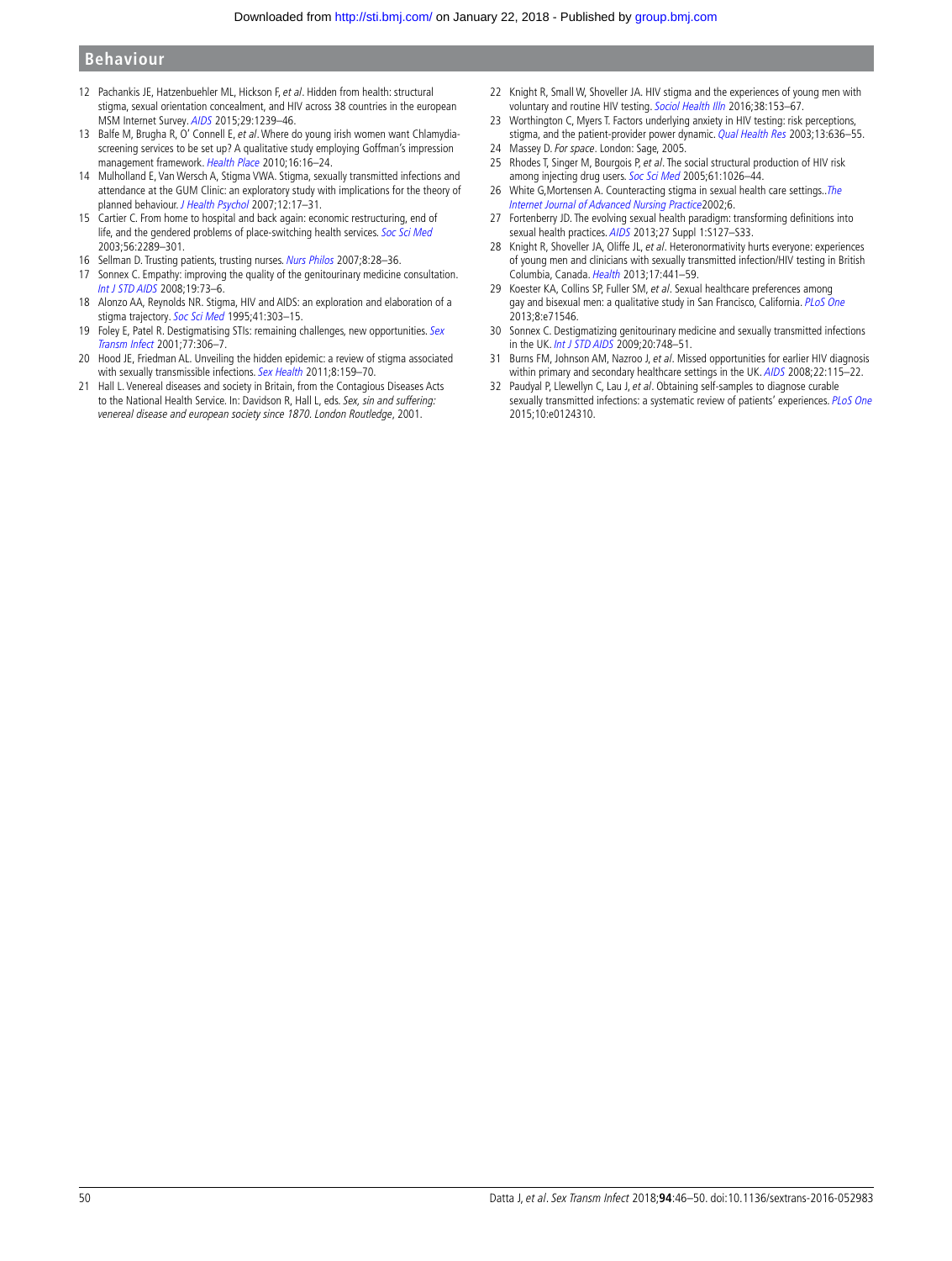## **Behaviour**

- 12 Pachankis JE, Hatzenbuehler ML, Hickson F, et al. Hidden from health: structural stigma, sexual orientation concealment, and HIV across 38 countries in the european MSM Internet Survey. AIDS 2015;29:1239–46.
- 13 Balfe M, Brugha R, O' Connell E, et al. Where do young irish women want Chlamydiascreening services to be set up? A qualitative study employing Goffman's impression management framework. Health Place 2010;16:16-24.
- 14 Mulholland E, Van Wersch A, Stigma VWA. Stigma, sexually transmitted infections and attendance at the GUM Clinic: an exploratory study with implications for the theory of planned behaviour. J Health Psychol 2007;12:17-31.
- 15 Cartier C. From home to hospital and back again: economic restructuring, end of life, and the gendered problems of place-switching health services. Soc Sci Med 2003;56:2289–301.
- 16 Sellman D. Trusting patients, trusting nurses. Nurs Philos 2007;8:28–36.
- 17 Sonnex C. Empathy: improving the quality of the genitourinary medicine consultation. Int J STD AIDS 2008;19:73–6.
- 18 Alonzo AA, Reynolds NR. Stigma, HIV and AIDS: an exploration and elaboration of a stigma trajectory. Soc Sci Med 1995;41:303–15.
- 19 Foley E, Patel R. Destigmatising STIs: remaining challenges, new opportunities. Sex Transm Infect 2001;77:306–7.
- 20 Hood JE, Friedman AL. Unveiling the hidden epidemic: a review of stigma associated with sexually transmissible infections. Sex Health 2011;8:159-70.
- 21 Hall L. Venereal diseases and society in Britain, from the Contagious Diseases Acts to the National Health Service. In: Davidson R, Hall L, eds. Sex, sin and suffering: venereal disease and european society since 1870. London Routledge, 2001.
- 22 Knight R, Small W, Shoveller JA. HIV stigma and the experiences of young men with voluntary and routine HIV testing. Sociol Health Illn 2016;38:153-67.
- 23 Worthington C, Myers T. Factors underlying anxiety in HIV testing: risk perceptions, stigma, and the patient-provider power dynamic. Qual Health Res 2003;13:636–55.
- 24 Massey D. For space. London: Sage, 2005. 25 Rhodes T, Singer M, Bourgois P, et al. The social structural production of HIV risk among injecting drug users. Soc Sci Med 2005;61:1026-44.
- 26 White G, Mortensen A. Counteracting stigma in sexual health care settings.. The Internet Journal of Advanced Nursing Practice2002;6.
- 27 Fortenberry JD. The evolving sexual health paradigm: transforming definitions into sexual health practices. AIDS 2013;27 Suppl 1:S127-S33.
- 28 Knight R, Shoveller JA, Oliffe JL, et al. Heteronormativity hurts everyone: experiences of young men and clinicians with sexually transmitted infection/HIV testing in British Columbia, Canada. Health 2013;17:441-59.
- 29 Koester KA, Collins SP, Fuller SM, et al. Sexual healthcare preferences among gay and bisexual men: a qualitative study in San Francisco, California. PLOS One 2013;8:e71546.
- 30 Sonnex C. Destigmatizing genitourinary medicine and sexually transmitted infections in the UK. Int J STD AIDS 2009;20:748–51.
- 31 Burns FM, Johnson AM, Nazroo J, et al. Missed opportunities for earlier HIV diagnosis within primary and secondary healthcare settings in the UK. AIDS 2008;22:115-22.
- 32 Paudyal P, Llewellyn C, Lau J, et al. Obtaining self-samples to diagnose curable sexually transmitted infections: a systematic review of patients' experiences. PLoS One 2015;10:e0124310.